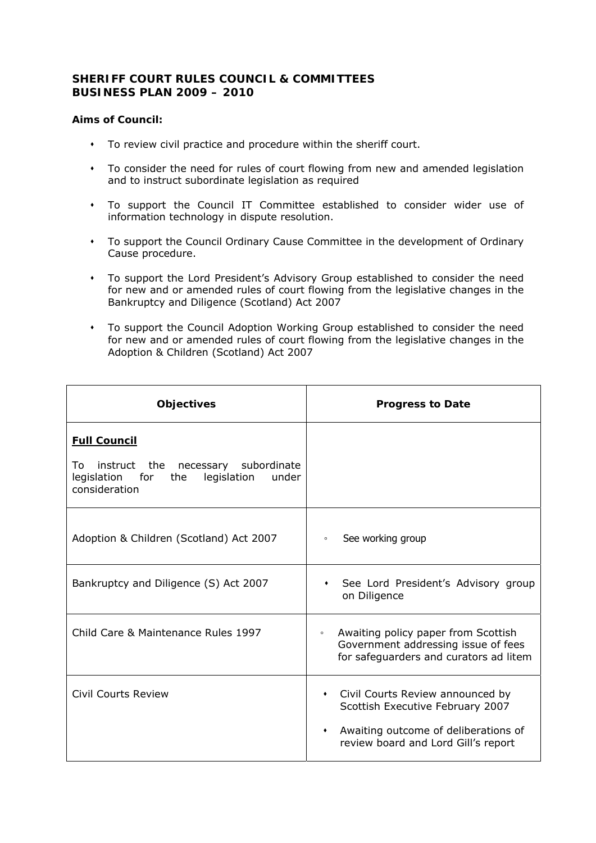## **SHERIFF COURT RULES COUNCIL & COMMITTEES BUSINESS PLAN 2009 – 2010**

## **Aims of Council:**

- To review civil practice and procedure within the sheriff court.
- To consider the need for rules of court flowing from new and amended legislation and to instruct subordinate legislation as required
- To support the Council IT Committee established to consider wider use of information technology in dispute resolution.
- To support the Council Ordinary Cause Committee in the development of Ordinary Cause procedure.
- To support the Lord President's Advisory Group established to consider the need for new and or amended rules of court flowing from the legislative changes in the Bankruptcy and Diligence (Scotland) Act 2007
- To support the Council Adoption Working Group established to consider the need for new and or amended rules of court flowing from the legislative changes in the Adoption & Children (Scotland) Act 2007

| <b>Objectives</b>                                                                                                                      | <b>Progress to Date</b>                                                                                                                                                       |
|----------------------------------------------------------------------------------------------------------------------------------------|-------------------------------------------------------------------------------------------------------------------------------------------------------------------------------|
| <b>Full Council</b><br>subordinate<br>instruct the necessary<br>To.<br>legislation for<br>the<br>legislation<br>under<br>consideration |                                                                                                                                                                               |
| Adoption & Children (Scotland) Act 2007                                                                                                | See working group<br>$\circ$                                                                                                                                                  |
| Bankruptcy and Diligence (S) Act 2007                                                                                                  | See Lord President's Advisory group<br>on Diligence                                                                                                                           |
| Child Care & Maintenance Rules 1997                                                                                                    | Awaiting policy paper from Scottish<br>$\circ$<br>Government addressing issue of fees<br>for safeguarders and curators ad litem                                               |
| Civil Courts Review                                                                                                                    | Civil Courts Review announced by<br>$\bullet$<br>Scottish Executive February 2007<br>Awaiting outcome of deliberations of<br>$\bullet$<br>review board and Lord Gill's report |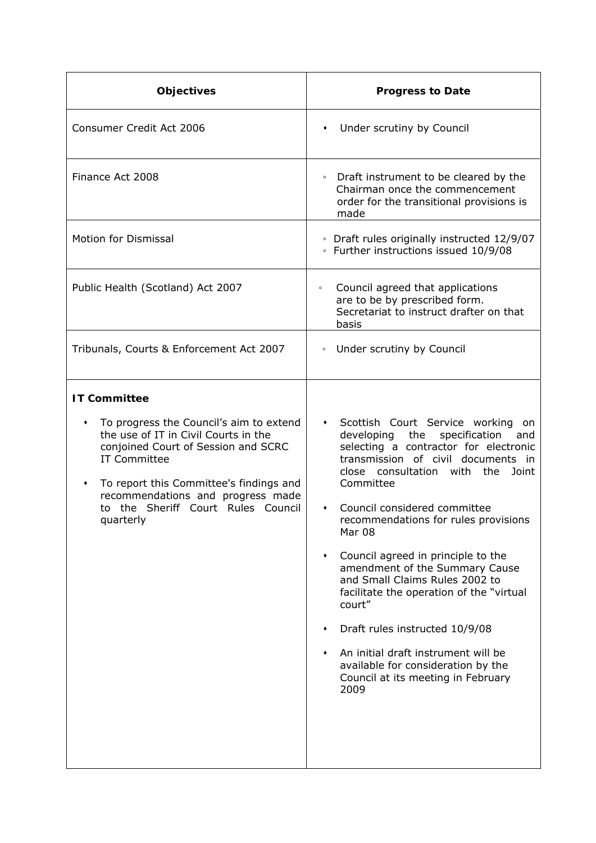| <b>Objectives</b>                                                                                                                                                                                                                                                                                                 | <b>Progress to Date</b>                                                                                                                                                                                                                                                                                                                                                                                                                                                                                                                                                                                                                                                |
|-------------------------------------------------------------------------------------------------------------------------------------------------------------------------------------------------------------------------------------------------------------------------------------------------------------------|------------------------------------------------------------------------------------------------------------------------------------------------------------------------------------------------------------------------------------------------------------------------------------------------------------------------------------------------------------------------------------------------------------------------------------------------------------------------------------------------------------------------------------------------------------------------------------------------------------------------------------------------------------------------|
| Consumer Credit Act 2006                                                                                                                                                                                                                                                                                          | Under scrutiny by Council<br>٠                                                                                                                                                                                                                                                                                                                                                                                                                                                                                                                                                                                                                                         |
| Finance Act 2008                                                                                                                                                                                                                                                                                                  | Draft instrument to be cleared by the<br>$\circ$<br>Chairman once the commencement<br>order for the transitional provisions is<br>made                                                                                                                                                                                                                                                                                                                                                                                                                                                                                                                                 |
| <b>Motion for Dismissal</b>                                                                                                                                                                                                                                                                                       | • Draft rules originally instructed 12/9/07<br>• Further instructions issued 10/9/08                                                                                                                                                                                                                                                                                                                                                                                                                                                                                                                                                                                   |
| Public Health (Scotland) Act 2007                                                                                                                                                                                                                                                                                 | Council agreed that applications<br>$\circ$<br>are to be by prescribed form.<br>Secretariat to instruct drafter on that<br>basis                                                                                                                                                                                                                                                                                                                                                                                                                                                                                                                                       |
| Tribunals, Courts & Enforcement Act 2007                                                                                                                                                                                                                                                                          | • Under scrutiny by Council                                                                                                                                                                                                                                                                                                                                                                                                                                                                                                                                                                                                                                            |
| <b>IT Committee</b><br>To progress the Council's aim to extend<br>٠<br>the use of IT in Civil Courts in the<br>conjoined Court of Session and SCRC<br><b>IT Committee</b><br>To report this Committee's findings and<br>٠<br>recommendations and progress made<br>to the Sheriff Court Rules Council<br>quarterly | Scottish Court Service working<br>$\bullet$<br>on<br>developing<br>the<br>specification<br>and<br>selecting a contractor for electronic<br>transmission of civil documents in<br>close consultation with the Joint<br>Committee<br>Council considered committee<br>٠<br>recommendations for rules provisions<br>Mar 08<br>Council agreed in principle to the<br>$\blacklozenge$<br>amendment of the Summary Cause<br>and Small Claims Rules 2002 to<br>facilitate the operation of the "virtual<br>court"<br>Draft rules instructed 10/9/08<br>An initial draft instrument will be<br>available for consideration by the<br>Council at its meeting in February<br>2009 |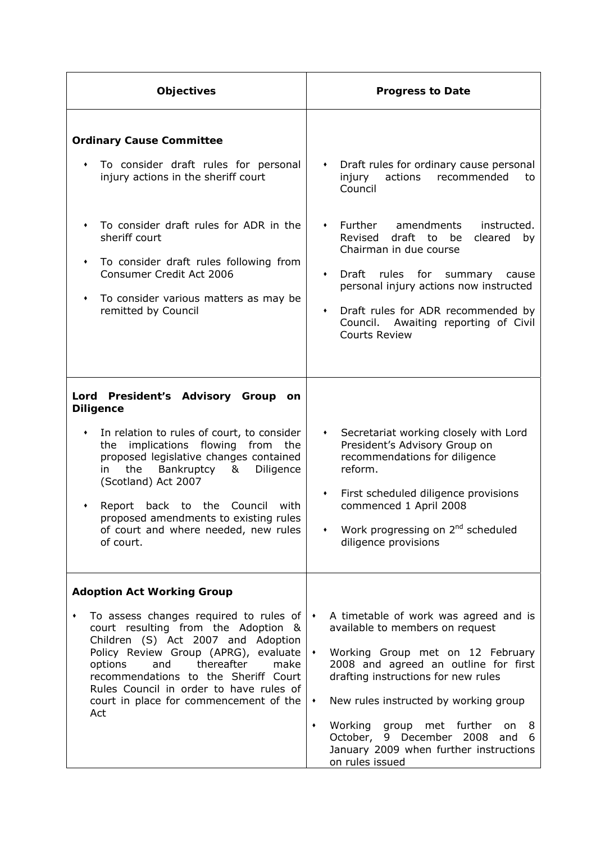| Objectives                                                                                                                                                                                                                                                                                                                                                                                                             | <b>Progress to Date</b>                                                                                                                                                                                                                                                                                                                                                                                                                         |
|------------------------------------------------------------------------------------------------------------------------------------------------------------------------------------------------------------------------------------------------------------------------------------------------------------------------------------------------------------------------------------------------------------------------|-------------------------------------------------------------------------------------------------------------------------------------------------------------------------------------------------------------------------------------------------------------------------------------------------------------------------------------------------------------------------------------------------------------------------------------------------|
| <b>Ordinary Cause Committee</b><br>To consider draft rules for personal<br>٠<br>injury actions in the sheriff court<br>To consider draft rules for ADR in the<br>٠<br>sheriff court<br>To consider draft rules following from<br>٠<br>Consumer Credit Act 2006<br>To consider various matters as may be<br>٠<br>remitted by Council                                                                                    | Draft rules for ordinary cause personal<br>$\bullet$<br>injury<br>actions recommended<br>to<br>Council<br>Further<br>amendments<br>instructed.<br>$\bullet$<br>draft to be<br>Revised<br>cleared<br>by<br>Chairman in due course<br>Draft rules for<br>$\blacklozenge$<br>summary<br>cause<br>personal injury actions now instructed<br>Draft rules for ADR recommended by<br>٠<br>Council. Awaiting reporting of Civil<br><b>Courts Review</b> |
| Lord<br><b>President's Advisory Group</b><br>on<br><b>Diligence</b><br>In relation to rules of court, to consider<br>٠<br>implications flowing from the<br>the<br>proposed legislative changes contained<br>the<br>Bankruptcy<br>&<br>Diligence<br>in<br>(Scotland) Act 2007<br>Report<br>back to the<br>Council<br>with<br>proposed amendments to existing rules<br>of court and where needed, new rules<br>of court. | • Secretariat working closely with Lord<br>President's Advisory Group on<br>recommendations for diligence<br>reform.<br>First scheduled diligence provisions<br>$\bullet$<br>commenced 1 April 2008<br>• Work progressing on $2^{nd}$ scheduled<br>diligence provisions                                                                                                                                                                         |
| <b>Adoption Act Working Group</b><br>To assess changes required to rules of $\cdot$<br>٠<br>court resulting from the Adoption &<br>Children (S) Act 2007 and Adoption<br>Policy Review Group (APRG), evaluate<br>and thereafter<br>options<br>make<br>recommendations to the Sheriff Court<br>Rules Council in order to have rules of<br>court in place for commencement of the<br>Act                                 | A timetable of work was agreed and is<br>available to members on request<br>Working Group met on 12 February<br>$\blacklozenge$<br>2008 and agreed an outline for first<br>drafting instructions for new rules<br>New rules instructed by working group<br>٠<br>Working group met further<br>٠<br>on 8<br>October, 9 December 2008 and 6<br>January 2009 when further instructions<br>on rules issued                                           |